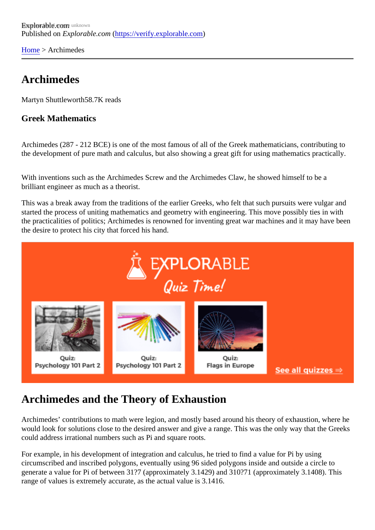[Home](https://verify.explorable.com/) > Archimedes

## Archimedes

Martyn Shuttlewort<sup>58.7K</sup> reads

Greek Mathematics

Archimedes (287 - 212 BCE) is one of the most famous of all of the Greek mathematicians, contributing to the development of pure math and calculus, but also showing a great gift for using mathematics practically.

With inventions such as the Archimedes Screw and the Archimedes Claw, he showed himself to be a brilliant engineer as much as a theorist.

This was a break away from the traditions of the earlier Greeks, who felt that such pursuits were vulgar an started the process of uniting mathematics and geometry with engineering. This move possibly ties in with the practicalities of politics; Archimedes is renowned for inventing great war machines and it may have be the desire to protect his city that forced his hand.

## Archimedes and the Theory of Exhaustion

Archimedes' contributions to math were legion, and mostly based around his theory of exhaustion, where would look for solutions close to the desired answer and give a range. This was the only way that the Gree could address irrational numbers such as Pi and square roots.

For example, in his development of integration and calculus, he tried to find a value for Pi by using circumscribed and inscribed polygons, eventually using 96 sided polygons inside and outside a circle to generate a value for Pi of between 31?7 (approximately 3.1429) and 310?71 (approximately 3.1408). This range of values is extremely accurate, as the actual value is 3.1416.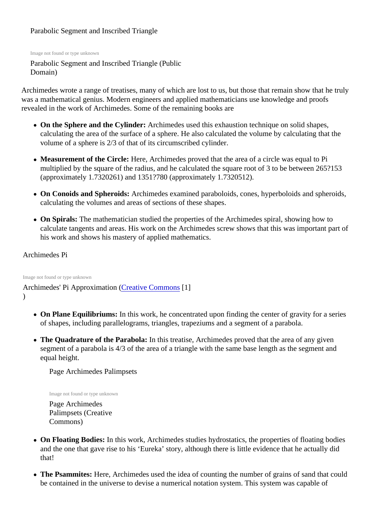### Parabolic Segment and Inscribed Triangle

Image not found or type unknown

Parabolic Segment and Inscribed Triangle (Public Domain)

Archimedes wrote a range of treatises, many of which are lost to us, but those that remain show that he truly was a mathematical genius. Modern engineers and applied mathematicians use knowledge and proofs revealed in the work of Archimedes. Some of the remaining books are

- On the Sphere and the Cylinder: Archimedes used this exhaustion technique on solid shapes, calculating the area of the surface of a sphere. He also calculated the volume by calculating that the volume of a sphere is 2/3 of that of its circumscribed cylinder.
- Measurement of the Circle: Here, Archimedes proved that the area of a circle was equal to Pi multiplied by the square of the radius, and he calculated the square root of 3 to be between 265?153 (approximately 1.7320261) and 1351?780 (approximately 1.7320512).
- On Conoids and Spheroids: Archimedes examined paraboloids, cones, hyperboloids and spheroids, calculating the volumes and areas of sections of these shapes.
- On Spirals: The mathematician studied the properties of the Archimedes spiral, showing how to calculate tangents and areas. His work on the Archimedes screw shows that this was important part his work and shows his mastery of applied mathematics.

#### Archimedes Pi

Image not found or type unknown

Archimedes' Pi Approximation [Creative Common](http://commons.wikimedia.org/wiki/User:El_Caro)s [1] )

- On Plane Equilibriums: In this work, he concentrated upon finding the center of gravity for a series of shapes, including parallelograms, triangles, trapeziums and a segment of a parabola.
- The Quadrature of the Parabola: In this treatise, Archimedes proved that the area of any given segment of a parabola is 4/3 of the area of a triangle with the same base length as the segment and equal height.

Page Archimedes Palimpsets

Image not found or type unknown

Page Archimedes Palimpsets (Creative Commons)

- On Floating Bodies: In this work, Archimedes studies hydrostatics, the properties of floating bodies and the one that gave rise to his 'Eureka' story, although there is little evidence that he actually did that!
- The Psammites: Here, Archimedes used the idea of counting the number of grains of sand that could be contained in the universe to devise a numerical notation system. This system was capable of